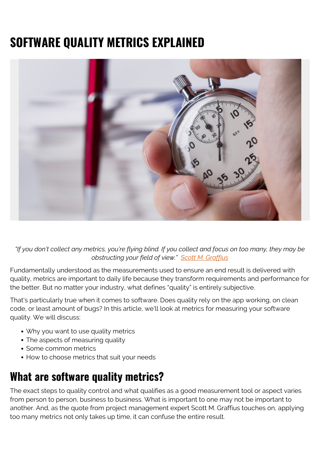# **SOFTWARE QUALITY METRICS EXPLAINED**



*"If you don't collect any metrics, you're flying blind. If you collect and focus on too many, they may be obstructing your field of view." [Scott M. Graffius](https://scottgraffius.com/)*

Fundamentally understood as the measurements used to ensure an end result is delivered with quality, metrics are important to daily life because they transform requirements and performance for the better. But no matter your industry, what defines "quality" is entirely subjective.

That's particularly true when it comes to software. Does quality rely on the app working, on clean code, or least amount of bugs? In this article, we'll look at metrics for measuring your software quality. We will discuss:

- Why you want to use quality metrics
- The aspects of measuring quality
- Some common metrics
- How to choose metrics that suit your needs

#### **What are software quality metrics?**

The exact steps to quality control and what qualifies as a good measurement tool or aspect varies from person to person, business to business. What is important to one may not be important to another. And, as the quote from project management expert Scott M. Graffius touches on, applying too many metrics not only takes up time, it can confuse the entire result.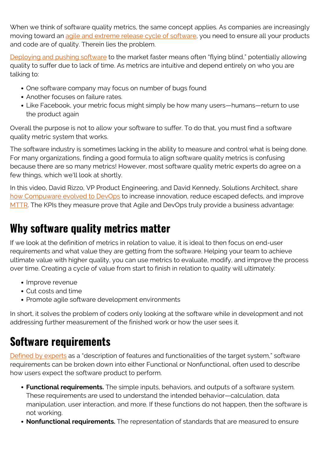When we think of software quality metrics, the same concept applies. As companies are increasingly moving toward an [agile and extreme release cycle of software](https://blogs.bmc.com/blogs/agile-vs-waterfall/), you need to ensure all your products and code are of quality. Therein lies the problem.

[Deploying and pushing software](https://blogs.bmc.com/blogs/software-deployment-vs-release/) to the market faster means often "flying blind," potentially allowing quality to suffer due to lack of time. As metrics are intuitive and depend entirely on who you are talking to:

- One software company may focus on number of bugs found
- Another focuses on failure rates.
- Like Facebook, your metric focus might simply be how many users—humans—return to use the product again

Overall the purpose is not to allow your software to suffer. To do that, you must find a software quality metric system that works.

The software industry is sometimes lacking in the ability to measure and control what is being done. For many organizations, finding a good formula to align software quality metrics is confusing because there are so many metrics! However, most software quality metric experts do agree on a few things, which we'll look at shortly.

In this video, David Rizzo, VP Product Engineering, and David Kennedy, Solutions Architect, share [how Compuware evolved to DevOps](https://blogs.bmc.com/blogs/exchange-2020-devops-transformation-metrics/) to increase innovation, reduce escaped defects, and improve [MTTR.](https://blogs.bmc.com/blogs/mtbf-vs-mtff-vs-mttr-whats-difference/) The KPIs they measure prove that Agile and DevOps truly provide a business advantage:

## **Why software quality metrics matter**

If we look at the definition of metrics in relation to value, it is ideal to then focus on end-user requirements and what value they are getting from the software. Helping your team to achieve ultimate value with higher quality, you can use metrics to evaluate, modify, and improve the process over time. Creating a cycle of value from start to finish in relation to quality will ultimately:

- Improve revenue
- Cut costs and time
- Promote agile software development environments

In short, it solves the problem of coders only looking at the software while in development and not addressing further measurement of the finished work or how the user sees it.

## **Software requirements**

[Defined by experts](https://www.tutorialspoint.com/software_engineering/software_requirements.htm) as a "description of features and functionalities of the target system," software requirements can be broken down into either Functional or Nonfunctional, often used to describe how users expect the software product to perform.

- **Functional requirements.** The simple inputs, behaviors, and outputs of a software system. These requirements are used to understand the intended behavior—calculation, data manipulation, user interaction, and more. If these functions do not happen, then the software is not working.
- **Nonfunctional requirements.** The representation of standards that are measured to ensure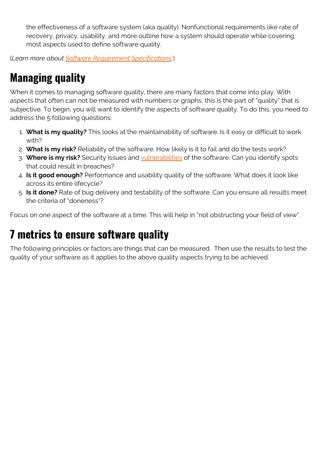the effectiveness of a software system (aka quality). Nonfunctional requirements like rate of recovery, privacy, usability, and more outline how a system should operate while covering most aspects used to define software quality.

(*Learn more about [Software Requirement Specifications.](https://blogs.bmc.com/blogs/software-requirements-specification-how-to-write-srs-with-examples/)*)

# **Managing quality**

When it comes to managing software quality, there are many factors that come into play. With aspects that often can not be measured with numbers or graphs, this is the part of "quality" that is subjective. To begin, you will want to identify the aspects of software quality. To do this, you need to address the 5 following questions:

- 1. **What is my quality?** This looks at the maintainability of software. Is it easy or difficult to work with?
- 2. **What is my risk?** Reliability of the software. How likely is it to fail and do the tests work?
- 3. **Where is my risk?** Security issues and [vulnerabilities](https://blogs.bmc.com/blogs/security-vulnerability-vs-threat-vs-risk-whats-difference/) of the software. Can you identify spots that could result in breaches?
- 4. **Is it good enough?** Performance and usability quality of the software. What does it look like across its entire lifecycle?
- 5. **Is it done?** Rate of bug delivery and testability of the software. Can you ensure all results meet the criteria of "doneness"?

Focus on one aspect of the software at a time. This will help in "not obstructing your field of view".

#### **7 metrics to ensure software quality**

The following principles or factors are things that can be measured. Then use the results to test the quality of your software as it applies to the above quality aspects trying to be achieved.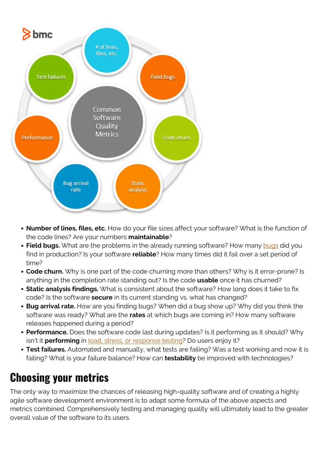

- **Number of lines, files, etc.** How do your file sizes affect your software? What is the function of the code lines? Are your numbers **maintainable**?
- Field bugs. What are the problems in the already running software? How many [bugs](https://blogs.bmc.com/blogs/patch-hotfix-coldfix-bugfix/) did you find in production? Is your software **reliable**? How many times did it fail over a set period of time?
- **Code churn.** Why is one part of the code churning more than others? Why is it error-prone? Is anything in the completion rate standing out? Is the code **usable** once it has churned?
- **Static analysis findings.** What is consistent about the software? How long does it take to fix code? Is the software **secure** in its current standing vs. what has changed?
- **Bug arrival rate.** How are you finding bugs? When did a bug show up? Why did you think the software was ready? What are the **rates** at which bugs are coming in? How many software releases happened during a period?
- **Performance.** Does the software code last during updates? Is it performing as it should? Why isn't it **performing** in [load, stress, or response testing?](https://blogs.bmc.com/blogs/load-testing-performance-testing-and-stress-testing-explained/) Do users enjoy it?
- **Test failures.** Automated and manually, what tests are failing? Was a test working and now it is failing? What is your failure balance? How can **testability** be improved with technologies?

# **Choosing your metrics**

The only way to maximize the chances of releasing high-quality software and of creating a highly agile software development environment is to adapt some formula of the above aspects and metrics combined. Comprehensively testing and managing quality will ultimately lead to the greater overall value of the software to its users.